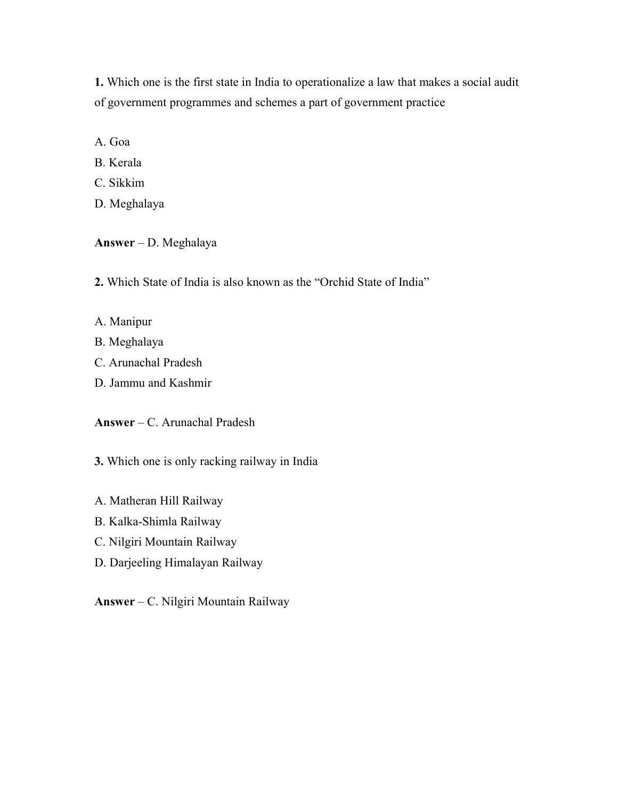1. Which one is the first state in India to operationalize a law that makes a social audit of government programmes and schemes a part of government practice

A. Goa

- B. Kerala
- C. Sikkim
- D. Meghalaya

## Answer – D. Meghalaya

- 2. Which State of India is also known as the "Orchid State of India"
- A. Manipur
- B. Meghalaya
- C. Arunachal Pradesh
- D. Jammu and Kashmir

## Answer – C. Arunachal Pradesh

- 3. Which one is only racking railway in India
- A. Matheran Hill Railway
- B. Kalka-Shimla Railway
- C. Nilgiri Mountain Railway
- D. Darjeeling Himalayan Railway
- Answer C. Nilgiri Mountain Railway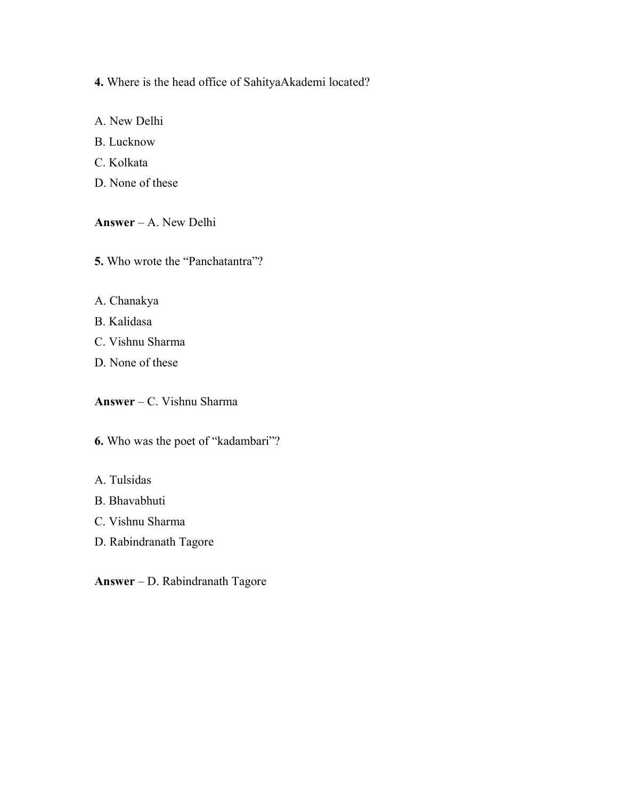4. Where is the head office of SahityaAkademi located?

A. New Delhi B. Lucknow C. Kolkata

D. None of these

Answer – A. New Delhi

5. Who wrote the "Panchatantra"?

A. Chanakya

B. Kalidasa

C. Vishnu Sharma

D. None of these

Answer – C. Vishnu Sharma

6. Who was the poet of "kadambari"?

A. Tulsidas

B. Bhavabhuti

C. Vishnu Sharma

D. Rabindranath Tagore

Answer – D. Rabindranath Tagore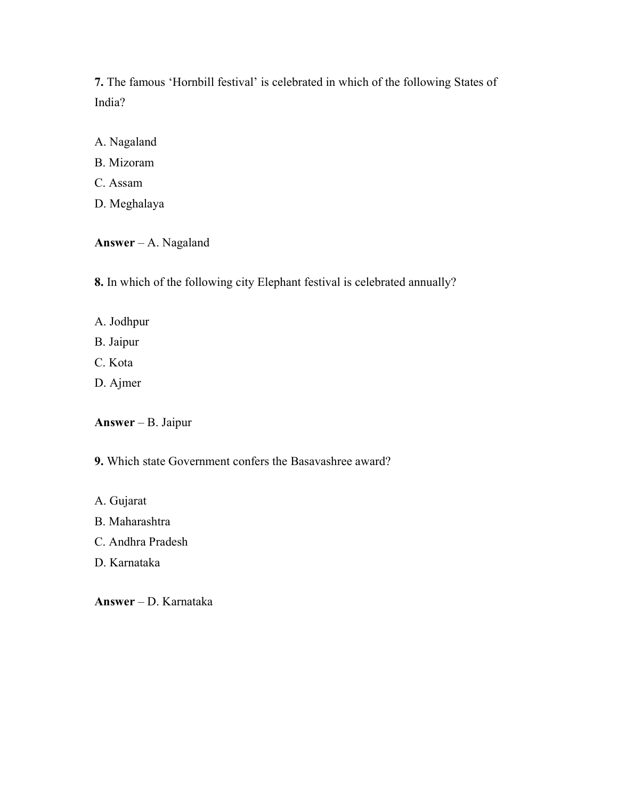7. The famous 'Hornbill festival' is celebrated in which of the following States of India?

A. Nagaland

- B. Mizoram
- C. Assam
- D. Meghalaya

Answer – A. Nagaland

8. In which of the following city Elephant festival is celebrated annually?

- A. Jodhpur
- B. Jaipur
- C. Kota
- D. Ajmer

Answer – B. Jaipur

- 9. Which state Government confers the Basavashree award?
- A. Gujarat
- B. Maharashtra
- C. Andhra Pradesh
- D. Karnataka

Answer – D. Karnataka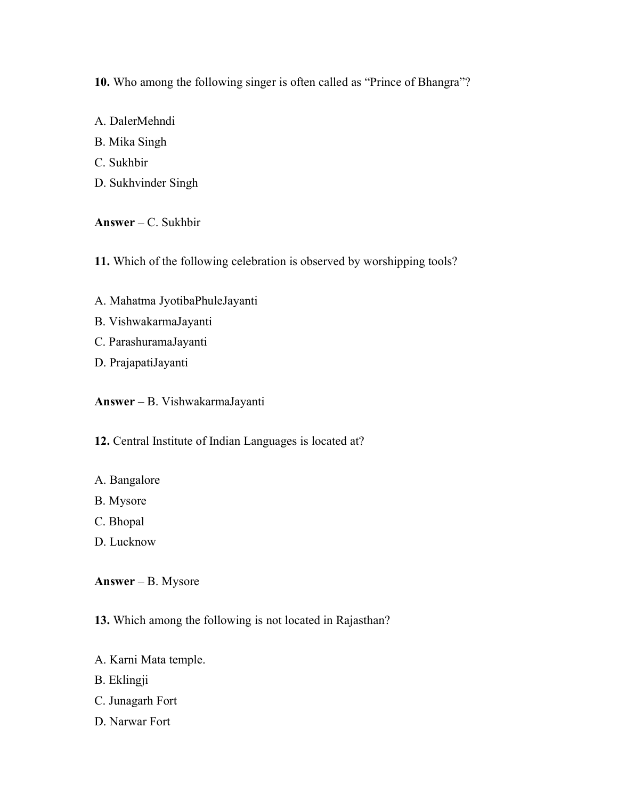10. Who among the following singer is often called as "Prince of Bhangra"?

A. DalerMehndi B. Mika Singh C. Sukhbir D. Sukhvinder Singh

Answer – C. Sukhbir

11. Which of the following celebration is observed by worshipping tools?

- A. Mahatma JyotibaPhuleJayanti
- B. VishwakarmaJayanti
- C. ParashuramaJayanti
- D. PrajapatiJayanti

Answer – B. VishwakarmaJayanti

12. Central Institute of Indian Languages is located at?

- A. Bangalore
- B. Mysore
- C. Bhopal
- D. Lucknow

Answer – B. Mysore

13. Which among the following is not located in Rajasthan?

- A. Karni Mata temple.
- B. Eklingji
- C. Junagarh Fort
- D. Narwar Fort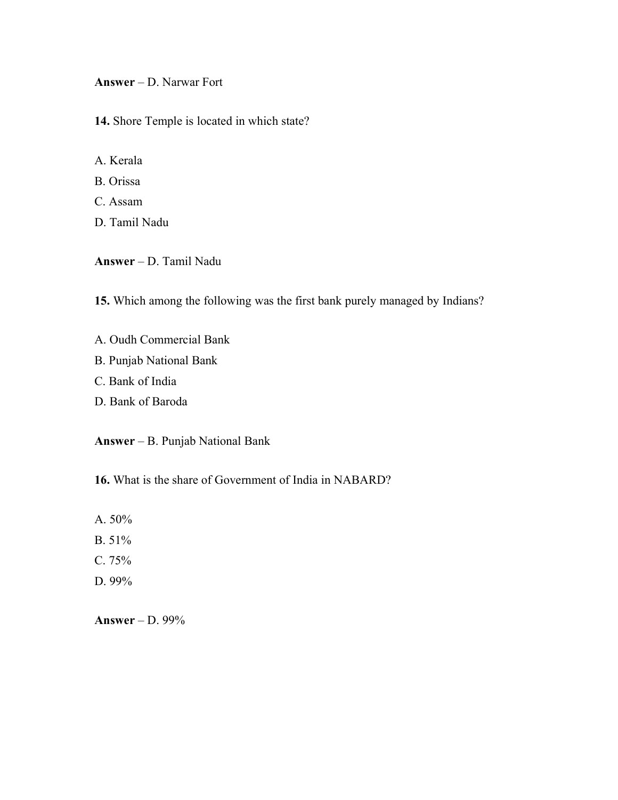Answer – D. Narwar Fort

14. Shore Temple is located in which state?

A. Kerala

B. Orissa

C. Assam

D. Tamil Nadu

Answer – D. Tamil Nadu

15. Which among the following was the first bank purely managed by Indians?

- A. Oudh Commercial Bank
- B. Punjab National Bank
- C. Bank of India
- D. Bank of Baroda

Answer – B. Punjab National Bank

16. What is the share of Government of India in NABARD?

A. 50%

- B. 51%
- C. 75%
- D. 99%

Answer – D. 99%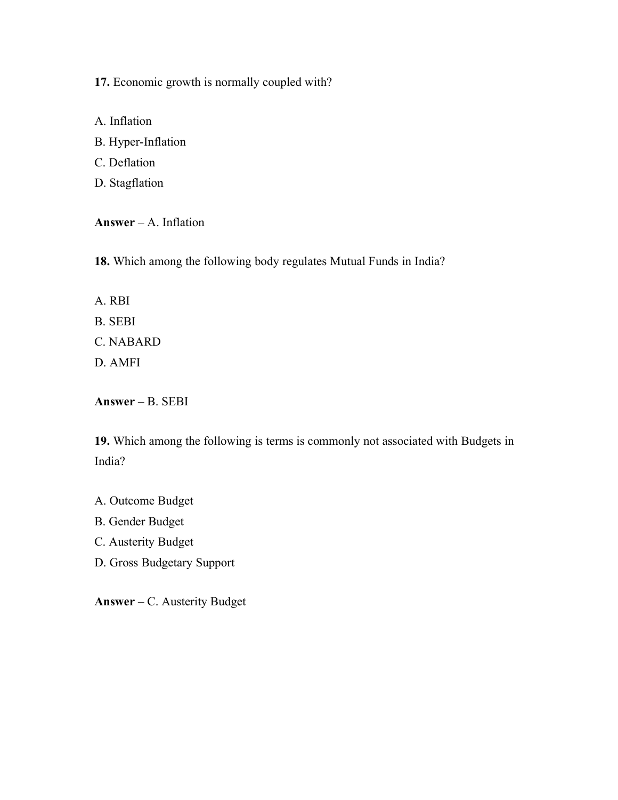17. Economic growth is normally coupled with?

A. Inflation B. Hyper-Inflation C. Deflation D. Stagflation

Answer – A. Inflation

18. Which among the following body regulates Mutual Funds in India?

- A. RBI
- B. SEBI
- C. NABARD
- D. AMFI

Answer – B. SEBI

19. Which among the following is terms is commonly not associated with Budgets in India?

A. Outcome Budget

B. Gender Budget

- C. Austerity Budget
- D. Gross Budgetary Support

Answer – C. Austerity Budget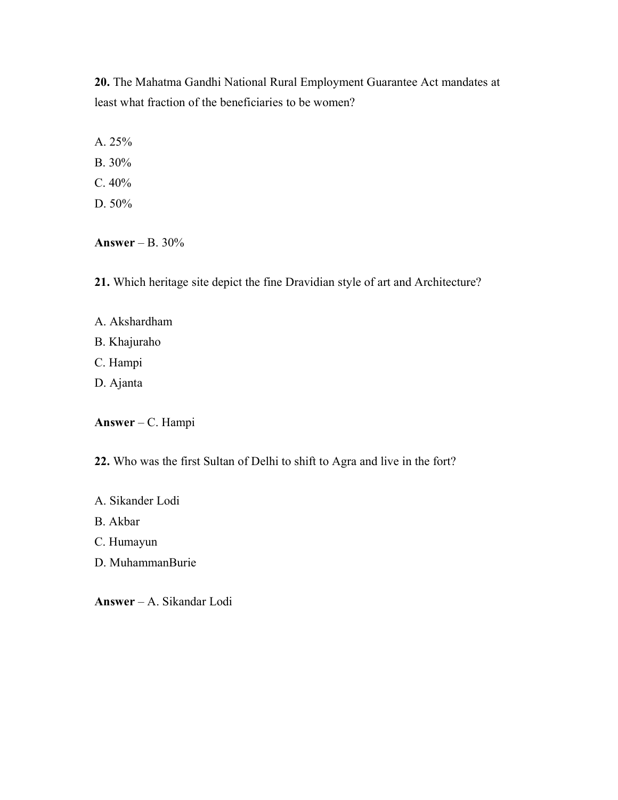20. The Mahatma Gandhi National Rural Employment Guarantee Act mandates at least what fraction of the beneficiaries to be women?

A. 25%

- B. 30%
- C. 40%
- D. 50%

Answer – B. 30%

21. Which heritage site depict the fine Dravidian style of art and Architecture?

- A. Akshardham
- B. Khajuraho
- C. Hampi
- D. Ajanta

Answer – C. Hampi

22. Who was the first Sultan of Delhi to shift to Agra and live in the fort?

- A. Sikander Lodi
- B. Akbar
- C. Humayun
- D. MuhammanBurie

Answer – A. Sikandar Lodi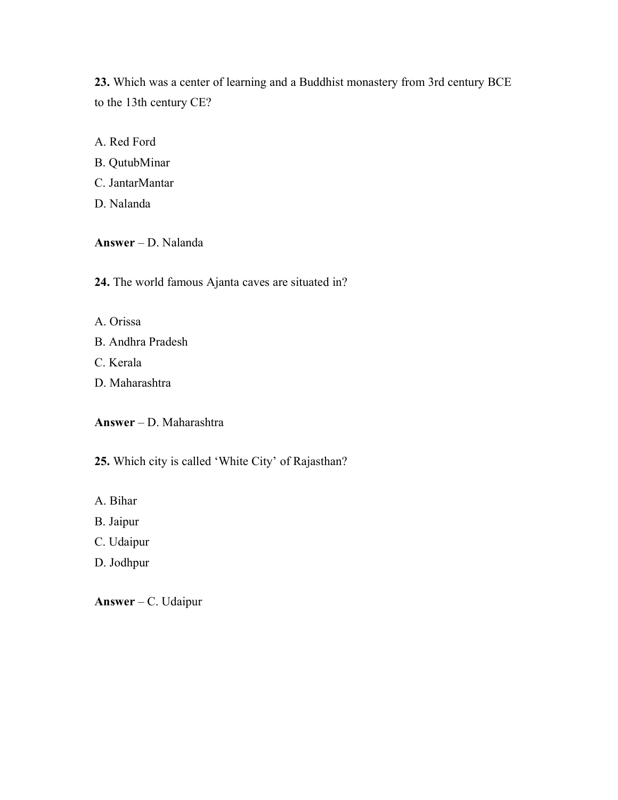23. Which was a center of learning and a Buddhist monastery from 3rd century BCE to the 13th century CE?

A. Red Ford

- B. QutubMinar
- C. JantarMantar
- D. Nalanda

Answer – D. Nalanda

24. The world famous Ajanta caves are situated in?

- A. Orissa
- B. Andhra Pradesh
- C. Kerala
- D. Maharashtra

Answer – D. Maharashtra

25. Which city is called 'White City' of Rajasthan?

- A. Bihar
- B. Jaipur
- C. Udaipur
- D. Jodhpur

Answer – C. Udaipur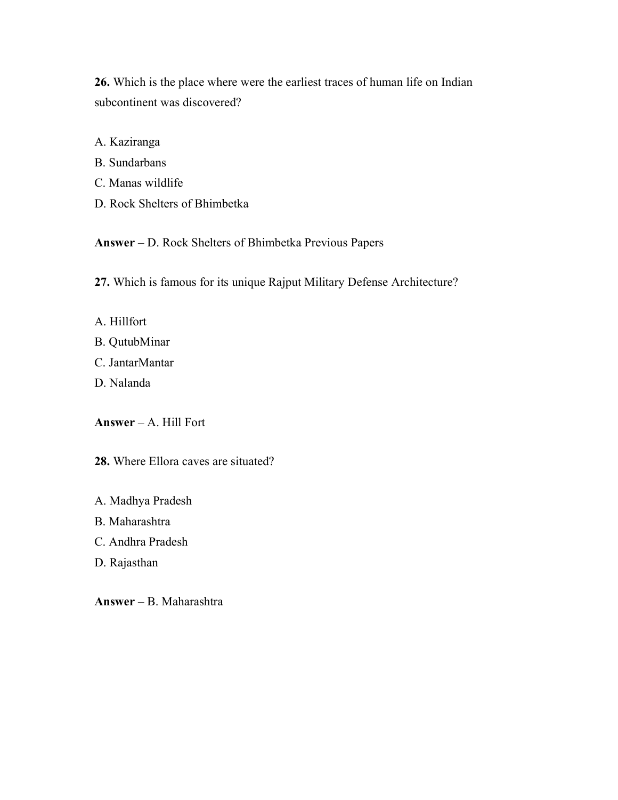26. Which is the place where were the earliest traces of human life on Indian subcontinent was discovered?

- A. Kaziranga
- B. Sundarbans
- C. Manas wildlife
- D. Rock Shelters of Bhimbetka

Answer – D. Rock Shelters of Bhimbetka Previous Papers

27. Which is famous for its unique Rajput Military Defense Architecture?

- A. Hillfort
- B. QutubMinar
- C. JantarMantar
- D. Nalanda

Answer – A. Hill Fort

28. Where Ellora caves are situated?

A. Madhya Pradesh

B. Maharashtra

C. Andhra Pradesh

D. Rajasthan

Answer – B. Maharashtra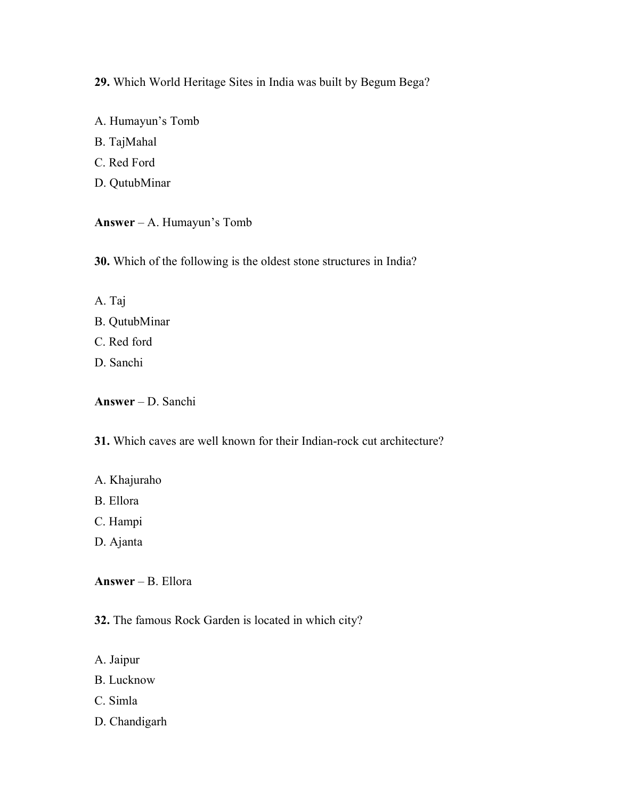29. Which World Heritage Sites in India was built by Begum Bega?

A. Humayun's Tomb

B. TajMahal

C. Red Ford

D. QutubMinar

Answer – A. Humayun's Tomb

30. Which of the following is the oldest stone structures in India?

A. Taj

- B. QutubMinar
- C. Red ford
- D. Sanchi

Answer – D. Sanchi

31. Which caves are well known for their Indian-rock cut architecture?

- A. Khajuraho
- B. Ellora
- C. Hampi
- D. Ajanta

Answer – B. Ellora

32. The famous Rock Garden is located in which city?

- A. Jaipur
- B. Lucknow
- C. Simla
- D. Chandigarh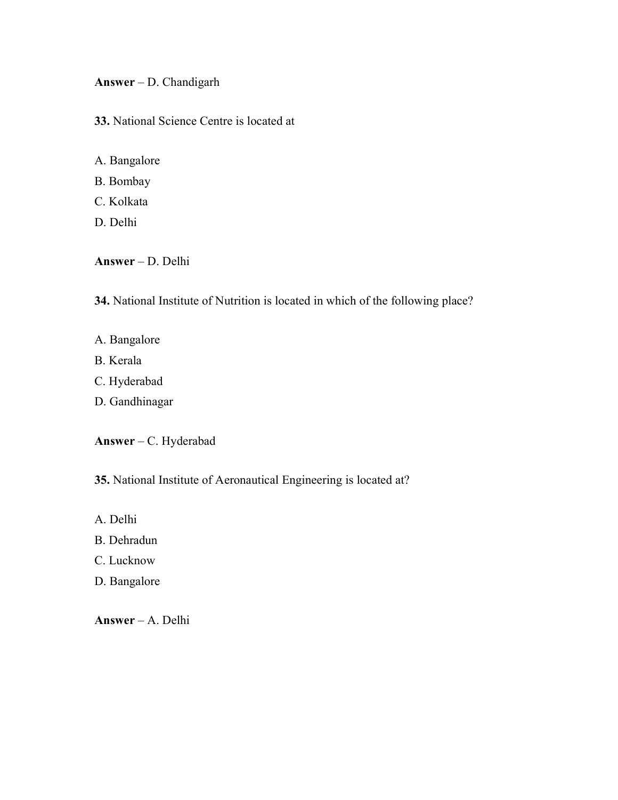Answer – D. Chandigarh

33. National Science Centre is located at

- A. Bangalore
- B. Bombay
- C. Kolkata
- D. Delhi

Answer – D. Delhi

34. National Institute of Nutrition is located in which of the following place?

- A. Bangalore
- B. Kerala
- C. Hyderabad
- D. Gandhinagar

Answer – C. Hyderabad

35. National Institute of Aeronautical Engineering is located at?

- A. Delhi
- B. Dehradun
- C. Lucknow
- D. Bangalore

Answer – A. Delhi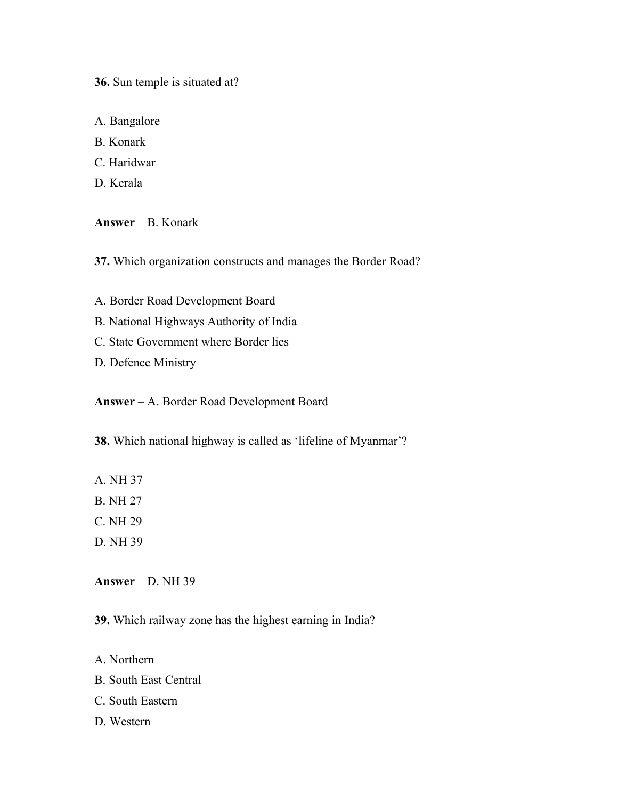36. Sun temple is situated at?

A. Bangalore

B. Konark

C. Haridwar

D. Kerala

Answer – B. Konark

37. Which organization constructs and manages the Border Road?

A. Border Road Development Board

B. National Highways Authority of India

C. State Government where Border lies

D. Defence Ministry

Answer – A. Border Road Development Board

38. Which national highway is called as 'lifeline of Myanmar'?

A. NH 37

B. NH 27

C. NH 29

D. NH 39

Answer – D. NH  $39$ 

39. Which railway zone has the highest earning in India?

A. Northern

B. South East Central

C. South Eastern

D. Western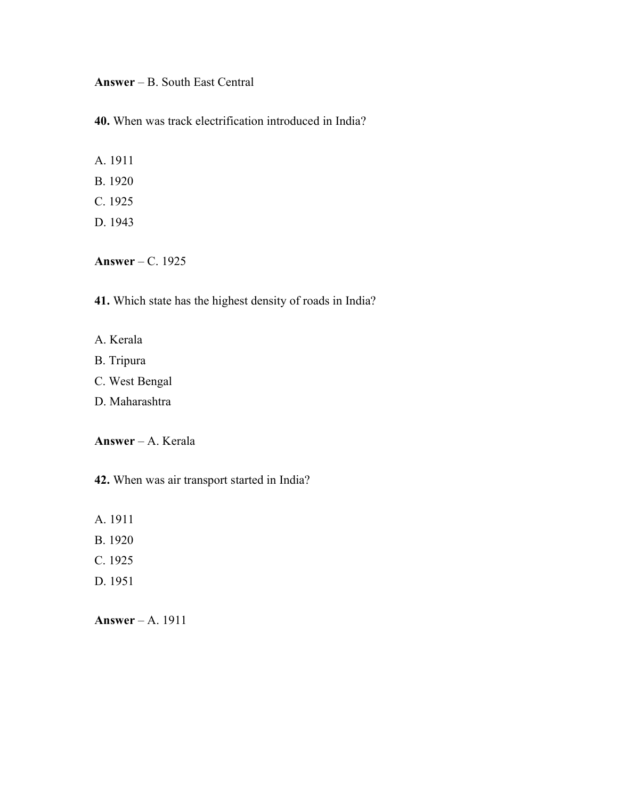Answer – B. South East Central

40. When was track electrification introduced in India?

A. 1911

- B. 1920
- C. 1925
- D. 1943

Answer – C. 1925

41. Which state has the highest density of roads in India?

- A. Kerala
- B. Tripura
- C. West Bengal
- D. Maharashtra

Answer – A. Kerala

42. When was air transport started in India?

- A. 1911
- B. 1920
- C. 1925
- D. 1951

Answer – A. 1911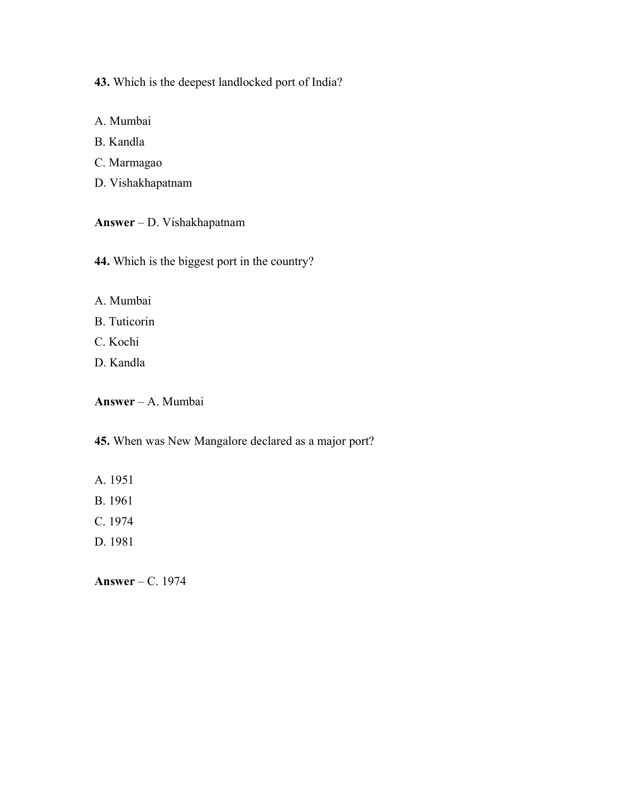43. Which is the deepest landlocked port of India?

- A. Mumbai
- B. Kandla
- C. Marmagao
- D. Vishakhapatnam

Answer – D. Vishakhapatnam

44. Which is the biggest port in the country?

- A. Mumbai
- B. Tuticorin
- C. Kochi
- D. Kandla

Answer – A. Mumbai

45. When was New Mangalore declared as a major port?

- A. 1951
- B. 1961
- C. 1974
- D. 1981

Answer – C. 1974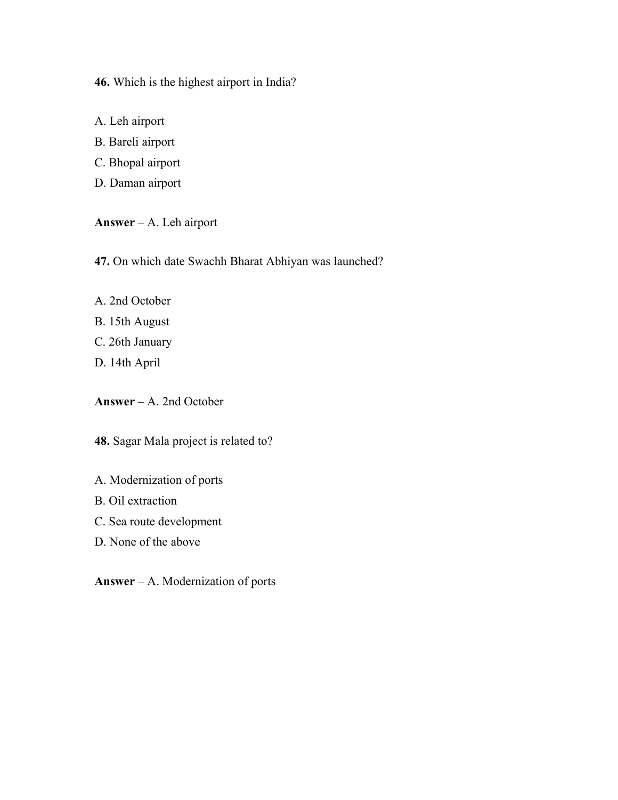46. Which is the highest airport in India?

A. Leh airport

B. Bareli airport

C. Bhopal airport

D. Daman airport

Answer – A. Leh airport

47. On which date Swachh Bharat Abhiyan was launched?

- A. 2nd October
- B. 15th August
- C. 26th January
- D. 14th April

Answer – A. 2nd October

48. Sagar Mala project is related to?

A. Modernization of ports

B. Oil extraction

C. Sea route development

D. None of the above

Answer – A. Modernization of ports